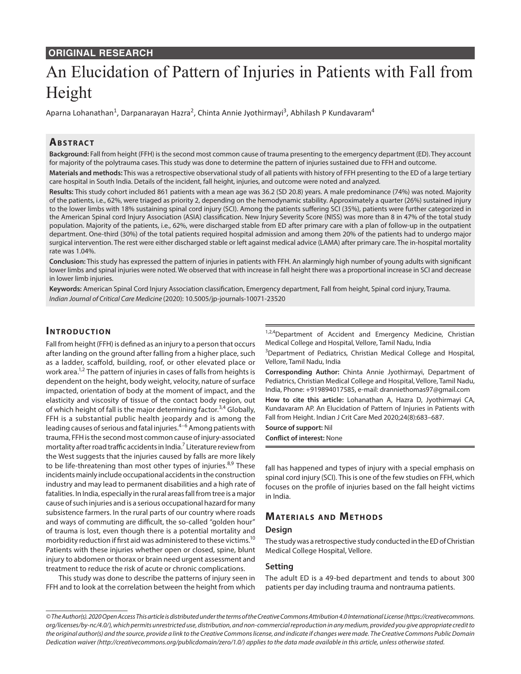# **ORIGINAL RESEARCH**

# An Elucidation of Pattern of Injuries in Patients with Fall from Height

Aparna Lohanathan<sup>1</sup>, Darpanarayan Hazra<sup>2</sup>, Chinta Annie Jyothirmayi<sup>3</sup>, Abhilash P Kundavaram<sup>4</sup>

# **ABSTRACT**

**Background:** Fall from height (FFH) is the second most common cause of trauma presenting to the emergency department (ED). They account for majority of the polytrauma cases. This study was done to determine the pattern of injuries sustained due to FFH and outcome.

**Materials and methods:** This was a retrospective observational study of all patients with history of FFH presenting to the ED of a large tertiary care hospital in South India. Details of the incident, fall height, injuries, and outcome were noted and analyzed.

**Results:** This study cohort included 861 patients with a mean age was 36.2 (SD 20.8) years. A male predominance (74%) was noted. Majority of the patients, i.e., 62%, were triaged as priority 2, depending on the hemodynamic stability. Approximately a quarter (26%) sustained injury to the lower limbs with 18% sustaining spinal cord injury (SCI). Among the patients suffering SCI (35%), patients were further categorized in the American Spinal cord Injury Association (ASIA) classification. New Injury Severity Score (NISS) was more than 8 in 47% of the total study population. Majority of the patients, i.e., 62%, were discharged stable from ED after primary care with a plan of follow-up in the outpatient department. One-third (30%) of the total patients required hospital admission and among them 20% of the patients had to undergo major surgical intervention. The rest were either discharged stable or left against medical advice (LAMA) after primary care. The in-hospital mortality rate was 1.04%.

**Conclusion:** This study has expressed the pattern of injuries in patients with FFH. An alarmingly high number of young adults with significant lower limbs and spinal injuries were noted. We observed that with increase in fall height there was a proportional increase in SCI and decrease in lower limb injuries.

**Keywords:** American Spinal Cord Injury Association classification, Emergency department, Fall from height, Spinal cord injury, Trauma. *Indian Journal of Critical Care Medicine* (2020): 10.5005/jp-journals-10071-23520

## **INTRODUCTION**

Fall from height (FFH) is defined as an injury to a person that occurs after landing on the ground after falling from a higher place, such as a ladder, scaffold, building, roof, or other elevated place or work area.<sup>1,2</sup> The pattern of injuries in cases of falls from heights is dependent on the height, body weight, velocity, nature of surface impacted, orientation of body at the moment of impact, and the elasticity and viscosity of tissue of the contact body region, out of which height of fall is the major determining factor.<sup>3,4</sup> Globally, FFH is a substantial public health jeopardy and is among the leading causes of serious and fatal injuries. $4-6$  Among patients with trauma, FFH is the second most common cause of injury-associated mortality after road traffic accidents in India.<sup>7</sup> Literature review from the West suggests that the injuries caused by falls are more likely to be life-threatening than most other types of injuries. $8,9$  These incidents mainly include occupational accidents in the construction industry and may lead to permanent disabilities and a high rate of fatalities. In India, especially in the rural areas fall from tree is a major cause of such injuries and is a serious occupational hazard for many subsistence farmers. In the rural parts of our country where roads and ways of commuting are difficult, the so-called "golden hour" of trauma is lost, even though there is a potential mortality and morbidity reduction if first aid was administered to these victims.<sup>10</sup> Patients with these injuries whether open or closed, spine, blunt injury to abdomen or thorax or brain need urgent assessment and treatment to reduce the risk of acute or chronic complications.

This study was done to describe the patterns of injury seen in FFH and to look at the correlation between the height from which

 $1,2,4$ Department of Accident and Emergency Medicine, Christian Medical College and Hospital, Vellore, Tamil Nadu, India

<sup>3</sup>Department of Pediatrics, Christian Medical College and Hospital, Vellore, Tamil Nadu, India

**Corresponding Author:** Chinta Annie Jyothirmayi, Department of Pediatrics, Christian Medical College and Hospital, Vellore, Tamil Nadu, India, Phone: +919894017585, e-mail: dranniethomas97@gmail.com

**How to cite this article:** Lohanathan A, Hazra D, Jyothirmayi CA, Kundavaram AP. An Elucidation of Pattern of Injuries in Patients with Fall from Height. Indian J Crit Care Med 2020;24(8):683–687.

**Source of support:** Nil

**Conflict of interest:** None

fall has happened and types of injury with a special emphasis on spinal cord injury (SCI). This is one of the few studies on FFH, which focuses on the profile of injuries based on the fall height victims in India.

# **MATERIALS AND METHODS**

#### **Design**

The study was a retrospective study conducted in the ED of Christian Medical College Hospital, Vellore.

#### **Setting**

The adult ED is a 49-bed department and tends to about 300 patients per day including trauma and nontrauma patients.

*<sup>©</sup> The Author(s). 2020 Open Access This article is distributed under the terms of the Creative Commons Attribution 4.0 International License (https://creativecommons. org/licenses/by-nc/4.0/), which permits unrestricted use, distribution, and non-commercial reproduction in any medium, provided you give appropriate credit to the original author(s) and the source, provide a link to the Creative Commons license, and indicate if changes were made. The Creative Commons Public Domain Dedication waiver (http://creativecommons.org/publicdomain/zero/1.0/) applies to the data made available in this article, unless otherwise stated.*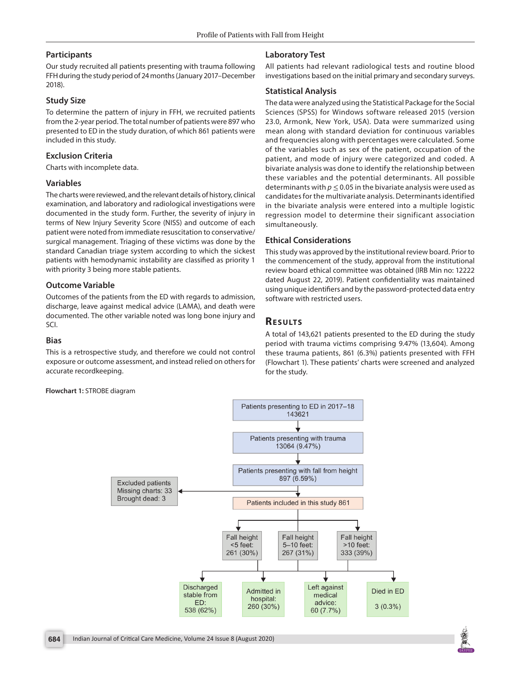#### **Participants**

Our study recruited all patients presenting with trauma following FFH during the study period of 24 months (January 2017–December 2018).

#### **Study Size**

To determine the pattern of injury in FFH, we recruited patients from the 2-year period. The total number of patients were 897 who presented to ED in the study duration, of which 861 patients were included in this study.

## **Exclusion Criteria**

Charts with incomplete data.

#### **Variables**

The charts were reviewed, and the relevant details of history, clinical examination, and laboratory and radiological investigations were documented in the study form. Further, the severity of injury in terms of New Injury Severity Score (NISS) and outcome of each patient were noted from immediate resuscitation to conservative/ surgical management. Triaging of these victims was done by the standard Canadian triage system according to which the sickest patients with hemodynamic instability are classified as priority 1 with priority 3 being more stable patients.

## **Outcome Variable**

Outcomes of the patients from the ED with regards to admission, discharge, leave against medical advice (LAMA), and death were documented. The other variable noted was long bone injury and SCI.

#### **Bias**

This is a retrospective study, and therefore we could not control exposure or outcome assessment, and instead relied on others for accurate recordkeeping.

**Flowchart 1:** STROBE diagram

# **Laboratory Test**

All patients had relevant radiological tests and routine blood investigations based on the initial primary and secondary surveys.

## **Statistical Analysis**

The data were analyzed using the Statistical Package for the Social Sciences (SPSS) for Windows software released 2015 (version 23.0, Armonk, New York, USA). Data were summarized using mean along with standard deviation for continuous variables and frequencies along with percentages were calculated. Some of the variables such as sex of the patient, occupation of the patient, and mode of injury were categorized and coded. A bivariate analysis was done to identify the relationship between these variables and the potential determinants. All possible determinants with  $p \le 0.05$  in the bivariate analysis were used as candidates for the multivariate analysis. Determinants identified in the bivariate analysis were entered into a multiple logistic regression model to determine their significant association simultaneously.

## **Ethical Considerations**

This study was approved by the institutional review board. Prior to the commencement of the study, approval from the institutional review board ethical committee was obtained (IRB Min no: 12222 dated August 22, 2019). Patient confidentiality was maintained using unique identifiers and by the password-protected data entry software with restricted users.

# **RESULTS**

A total of 143,621 patients presented to the ED during the study period with trauma victims comprising 9.47% (13,604). Among these trauma patients, 861 (6.3%) patients presented with FFH (Flowchart 1). These patients' charts were screened and analyzed for the study.



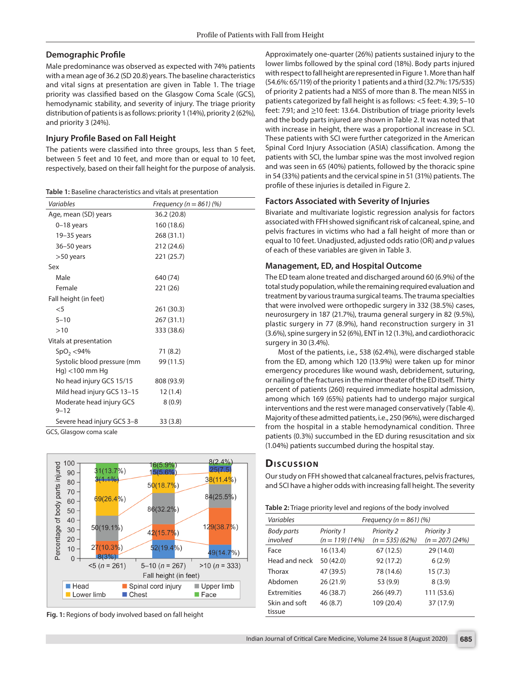## **Demographic Profile**

Male predominance was observed as expected with 74% patients with a mean age of 36.2 (SD 20.8) years. The baseline characteristics and vital signs at presentation are given in Table 1. The triage priority was classified based on the Glasgow Coma Scale (GCS), hemodynamic stability, and severity of injury. The triage priority distribution of patients is as follows: priority 1 (14%), priority 2 (62%), and priority 3 (24%).

## **Injury Profile Based on Fall Height**

The patients were classified into three groups, less than 5 feet, between 5 feet and 10 feet, and more than or equal to 10 feet, respectively, based on their fall height for the purpose of analysis.

| Table 1: Baseline characteristics and vitals at presentation |  |
|--------------------------------------------------------------|--|
|--------------------------------------------------------------|--|

| Variables                                          | Frequency ( $n = 861$ ) (%) |
|----------------------------------------------------|-----------------------------|
| Age, mean (SD) years                               | 36.2 (20.8)                 |
| $0-18$ years                                       | 160 (18.6)                  |
| $19-35$ years                                      | 268 (31.1)                  |
| $36 - 50$ years                                    | 212 (24.6)                  |
| $>50$ years                                        | 221 (25.7)                  |
| Sex                                                |                             |
| Male                                               | 640 (74)                    |
| Female                                             | 221 (26)                    |
| Fall height (in feet)                              |                             |
| $<$ 5                                              | 261 (30.3)                  |
| $5 - 10$                                           | 267 (31.1)                  |
| >10                                                | 333 (38.6)                  |
| Vitals at presentation                             |                             |
| SpO <sub>2</sub> < 94%                             | 71 (8.2)                    |
| Systolic blood pressure (mm<br>$Hq$ ) <100 mm $Hq$ | 99 (11.5)                   |
| No head injury GCS 15/15                           | 808 (93.9)                  |
| Mild head injury GCS 13-15                         | 12(1.4)                     |
| Moderate head injury GCS<br>$9 - 12$               | 8(0.9)                      |
| Severe head injury GCS 3-8                         | 33(3.8)                     |

GCS, Glasgow coma scale



**Fig. 1:** Regions of body involved based on fall height

Approximately one-quarter (26%) patients sustained injury to the lower limbs followed by the spinal cord (18%). Body parts injured with respect to fall height are represented in Figure 1. More than half (54.6%: 65/119) of the priority 1 patients and a third (32.7%: 175/535) of priority 2 patients had a NISS of more than 8. The mean NISS in patients categorized by fall height is as follows: <5 feet: 4.39; 5–10 feet: 7.91; and ≥10 feet: 13.64. Distribution of triage priority levels and the body parts injured are shown in Table 2. It was noted that with increase in height, there was a proportional increase in SCI. These patients with SCI were further categorized in the American Spinal Cord Injury Association (ASIA) classification. Among the patients with SCI, the lumbar spine was the most involved region and was seen in 65 (40%) patients, followed by the thoracic spine in 54 (33%) patients and the cervical spine in 51 (31%) patients. The profile of these injuries is detailed in Figure 2.

## **Factors Associated with Severity of Injuries**

Bivariate and multivariate logistic regression analysis for factors associated with FFH showed significant risk of calcaneal, spine, and pelvis fractures in victims who had a fall height of more than or equal to 10 feet. Unadjusted, adjusted odds ratio (OR) and *p* values of each of these variables are given in Table 3.

#### **Management, ED, and Hospital Outcome**

The ED team alone treated and discharged around 60 (6.9%) of the total study population, while the remaining required evaluation and treatment by various trauma surgical teams. The trauma specialties that were involved were orthopedic surgery in 332 (38.5%) cases, neurosurgery in 187 (21.7%), trauma general surgery in 82 (9.5%), plastic surgery in 77 (8.9%), hand reconstruction surgery in 31 (3.6%), spine surgery in 52 (6%), ENT in 12 (1.3%), and cardiothoracic surgery in 30 (3.4%).

Most of the patients, i.e., 538 (62.4%), were discharged stable from the ED, among which 120 (13.9%) were taken up for minor emergency procedures like wound wash, debridement, suturing, or nailing of the fractures in the minor theater of the ED itself. Thirty percent of patients (260) required immediate hospital admission, among which 169 (65%) patients had to undergo major surgical interventions and the rest were managed conservatively (Table 4). Majority of these admitted patients, i.e., 250 (96%), were discharged from the hospital in a stable hemodynamical condition. Three patients (0.3%) succumbed in the ED during resuscitation and six (1.04%) patients succumbed during the hospital stay.

# **Dis c u s sio n**

Our study on FFH showed that calcaneal fractures, pelvis fractures, and SCI have a higher odds with increasing fall height. The severity

|  | Table 2: Triage priority level and regions of the body involved |
|--|-----------------------------------------------------------------|
|  |                                                                 |

| Variables               | Frequency ( $n = 861$ ) (%)            |                                        |                                       |  |
|-------------------------|----------------------------------------|----------------------------------------|---------------------------------------|--|
| Body parts<br>involved  | <b>Priority 1</b><br>$(n = 119)$ (14%) | <b>Priority 2</b><br>$(n = 535)$ (62%) | <b>Priority 3</b><br>$(n = 207)(24%)$ |  |
| Face                    | 16(13.4)                               | 67 (12.5)                              | 29 (14.0)                             |  |
| Head and neck           | 50 (42.0)                              | 92 (17.2)                              | 6(2.9)                                |  |
| Thorax                  | 47 (39.5)                              | 78 (14.6)                              | 15(7.3)                               |  |
| Abdomen                 | 26 (21.9)                              | 53 (9.9)                               | 8(3.9)                                |  |
| <b>Extremities</b>      | 46 (38.7)                              | 266 (49.7)                             | 111 (53.6)                            |  |
| Skin and soft<br>tissue | 46(8.7)                                | 109 (20.4)                             | 37 (17.9)                             |  |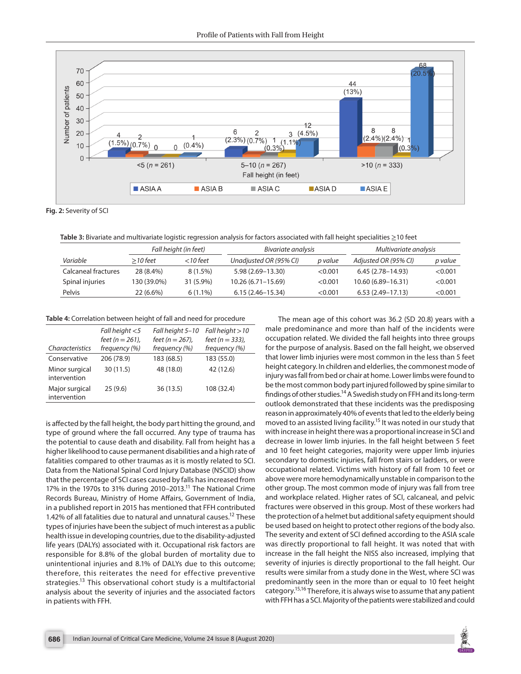

**Fig. 2:** Severity of SCI

**Table 3:** Bivariate and multivariate logistic regression analysis for factors associated with fall height specialities ≥10 feet

|                     |             | Fall height (in feet) | Bivariate analysis     |         | Multivariate analysis |         |
|---------------------|-------------|-----------------------|------------------------|---------|-----------------------|---------|
| Variable            | $>$ 10 feet | <10 feet              | Unadjusted OR (95% CI) | p value | Adjusted OR (95% CI)  | p value |
| Calcaneal fractures | 28 (8.4%)   | $8(1.5\%)$            | $5.98(2.69 - 13.30)$   | < 0.001 | $6.45(2.78 - 14.93)$  | < 0.001 |
| Spinal injuries     | 130 (39.0%) | 31 (5.9%)             | 10.26 (6.71–15.69)     | < 0.001 | 10.60 (6.89–16.31)    | < 0.001 |
| Pelvis              | 22 (6.6%)   | $6(1.1\%)$            | $6.15(2.46 - 15.34)$   | < 0.001 | $6.53(2.49-17.13)$    | < 0.001 |

**Table 4:** Correlation between height of fall and need for procedure

| Characteristics                | Fall height $<$ 5<br>feet ( $n = 261$ ),<br>frequency (%) | Fall height 5-10<br>feet ( $n = 267$ ),<br>frequency (%) | Fall height $>10$<br>feet ( $n = 333$ ),<br>frequency (%) |
|--------------------------------|-----------------------------------------------------------|----------------------------------------------------------|-----------------------------------------------------------|
| Conservative                   | 206 (78.9)                                                | 183 (68.5)                                               | 183 (55.0)                                                |
| Minor surgical<br>intervention | 30(11.5)                                                  | 48 (18.0)                                                | 42 (12.6)                                                 |
| Major surgical<br>intervention | 25(9.6)                                                   | 36 (13.5)                                                | 108 (32.4)                                                |

is affected by the fall height, the body part hitting the ground, and type of ground where the fall occurred. Any type of trauma has the potential to cause death and disability. Fall from height has a higher likelihood to cause permanent disabilities and a high rate of fatalities compared to other traumas as it is mostly related to SCI. Data from the National Spinal Cord Injury Database (NSCID) show that the percentage of SCI cases caused by falls has increased from 17% in the 1970s to 31% during 2010–2013.11 The National Crime Records Bureau, Ministry of Home Affairs, Government of India, in a published report in 2015 has mentioned that FFH contributed 1.42% of all fatalities due to natural and unnatural causes.<sup>12</sup> These types of injuries have been the subject of much interest as a public health issue in developing countries, due to the disability-adjusted life years (DALYs) associated with it. Occupational risk factors are responsible for 8.8% of the global burden of mortality due to unintentional injuries and 8.1% of DALYs due to this outcome; therefore, this reiterates the need for effective preventive strategies.<sup>13</sup> This observational cohort study is a multifactorial analysis about the severity of injuries and the associated factors in patients with FFH.

The mean age of this cohort was 36.2 (SD 20.8) years with a male predominance and more than half of the incidents were occupation related. We divided the fall heights into three groups for the purpose of analysis. Based on the fall height, we observed that lower limb injuries were most common in the less than 5 feet height category. In children and elderlies, the commonest mode of injury was fall from bed or chair at home. Lower limbs were found to be the most common body part injured followed by spine similar to findings of other studies.14 A Swedish study on FFH and its long-term outlook demonstrated that these incidents was the predisposing reason in approximately 40% of events that led to the elderly being moved to an assisted living facility.<sup>15</sup> It was noted in our study that with increase in height there was a proportional increase in SCI and decrease in lower limb injuries. In the fall height between 5 feet and 10 feet height categories, majority were upper limb injuries secondary to domestic injuries, fall from stairs or ladders, or were occupational related. Victims with history of fall from 10 feet or above were more hemodynamically unstable in comparison to the other group. The most common mode of injury was fall from tree and workplace related. Higher rates of SCI, calcaneal, and pelvic fractures were observed in this group. Most of these workers had the protection of a helmet but additional safety equipment should be used based on height to protect other regions of the body also. The severity and extent of SCI defined according to the ASIA scale was directly proportional to fall height. It was noted that with increase in the fall height the NISS also increased, implying that severity of injuries is directly proportional to the fall height. Our results were similar from a study done in the West, where SCI was predominantly seen in the more than or equal to 10 feet height category.15,16 Therefore, it is always wise to assume that any patient with FFH has a SCI. Majority of the patients were stabilized and could